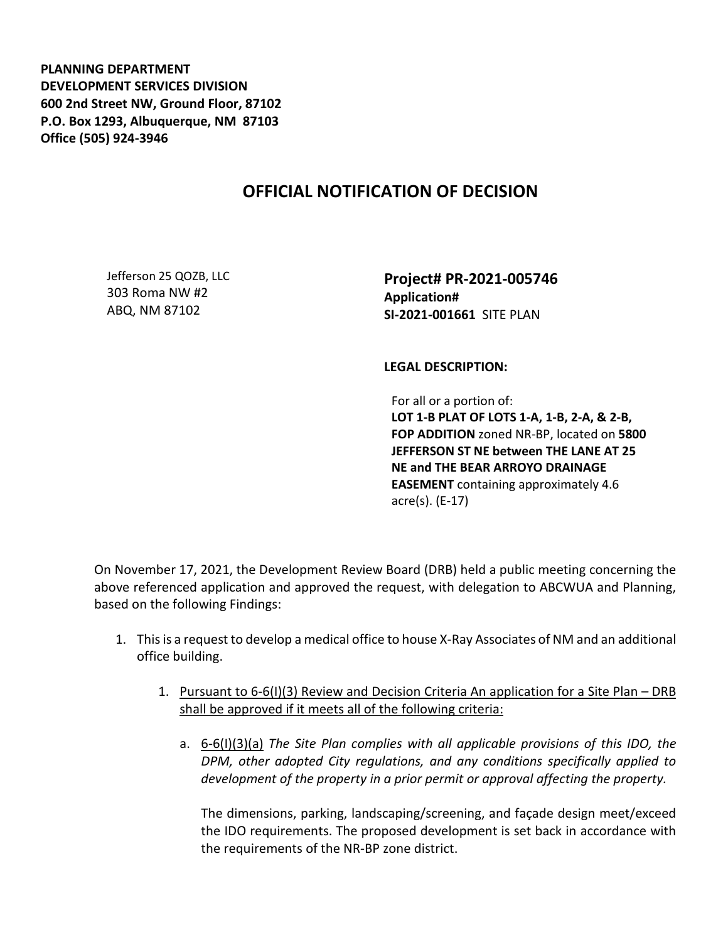**PLANNING DEPARTMENT DEVELOPMENT SERVICES DIVISION 600 2nd Street NW, Ground Floor, 87102 P.O. Box 1293, Albuquerque, NM 87103 Office (505) 924-3946** 

## **OFFICIAL NOTIFICATION OF DECISION**

Jefferson 25 QOZB, LLC 303 Roma NW #2 ABQ, NM 87102

**Project# PR-2021-005746 Application# SI-2021-001661** SITE PLAN

**LEGAL DESCRIPTION:**

For all or a portion of: **LOT 1-B PLAT OF LOTS 1-A, 1-B, 2-A, & 2-B, FOP ADDITION** zoned NR-BP, located on **5800 JEFFERSON ST NE between THE LANE AT 25 NE and THE BEAR ARROYO DRAINAGE EASEMENT** containing approximately 4.6 acre(s). (E-17)

On November 17, 2021, the Development Review Board (DRB) held a public meeting concerning the above referenced application and approved the request, with delegation to ABCWUA and Planning, based on the following Findings:

- 1. This is a request to develop a medical office to house X-Ray Associates of NM and an additional office building.
	- 1. Pursuant to 6-6(I)(3) Review and Decision Criteria An application for a Site Plan DRB shall be approved if it meets all of the following criteria:
		- a. 6-6(I)(3)(a) *The Site Plan complies with all applicable provisions of this IDO, the DPM, other adopted City regulations, and any conditions specifically applied to development of the property in a prior permit or approval affecting the property.*

The dimensions, parking, landscaping/screening, and façade design meet/exceed the IDO requirements. The proposed development is set back in accordance with the requirements of the NR-BP zone district.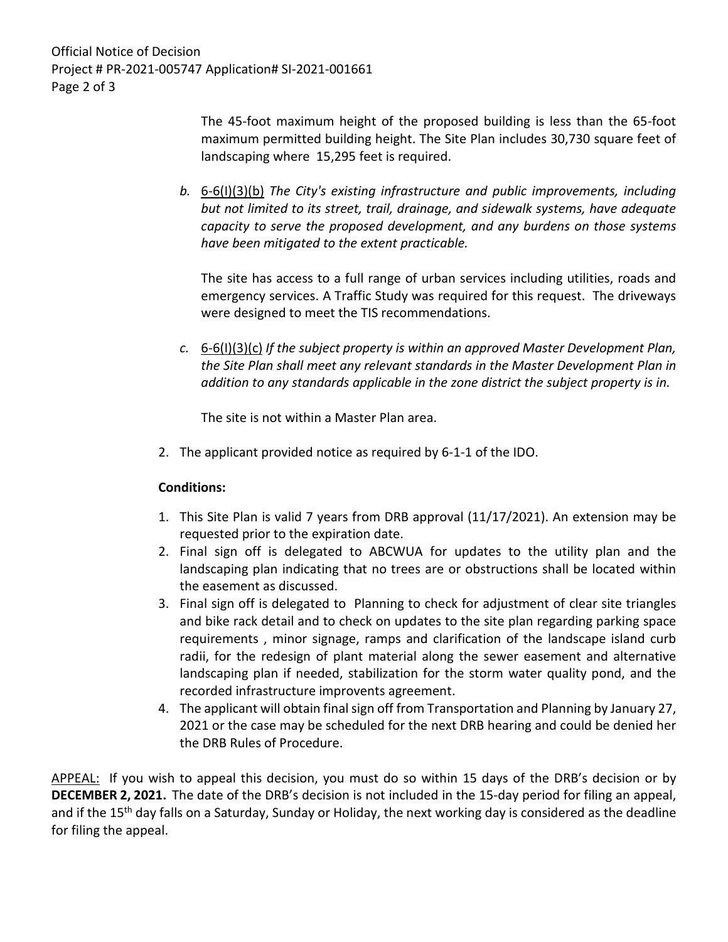Official Notice of Decision Project # PR-2021-005747 Application# SI-2021-001661 Page 2 of 3

> The 45-foot maximum height of the proposed building is less than the 65-foot maximum permitted building height. The Site Plan includes 30,730 square feet of landscaping where 15,295 feet is required.

*b.* 6-6(I)(3)(b) *The City's existing infrastructure and public improvements, including but not limited to its street, trail, drainage, and sidewalk systems, have adequate capacity to serve the proposed development, and any burdens on those systems have been mitigated to the extent practicable.* 

The site has access to a full range of urban services including utilities, roads and emergency services. A Traffic Study was required for this request. The driveways were designed to meet the TIS recommendations.

*c.* 6-6(I)(3)(c) *If the subject property is within an approved Master Development Plan, the Site Plan shall meet any relevant standards in the Master Development Plan in addition to any standards applicable in the zone district the subject property is in.*

The site is not within a Master Plan area.

2. The applicant provided notice as required by 6-1-1 of the IDO.

## **Conditions:**

- 1. This Site Plan is valid 7 years from DRB approval (11/17/2021). An extension may be requested prior to the expiration date.
- 2. Final sign off is delegated to ABCWUA for updates to the utility plan and the landscaping plan indicating that no trees are or obstructions shall be located within the easement as discussed.
- 3. Final sign off is delegated to Planning to check for adjustment of clear site triangles and bike rack detail and to check on updates to the site plan regarding parking space requirements , minor signage, ramps and clarification of the landscape island curb radii, for the redesign of plant material along the sewer easement and alternative landscaping plan if needed, stabilization for the storm water quality pond, and the recorded infrastructure improvents agreement.
- 4. The applicant will obtain final sign off from Transportation and Planning by January 27, 2021 or the case may be scheduled for the next DRB hearing and could be denied her the DRB Rules of Procedure.

APPEAL: If you wish to appeal this decision, you must do so within 15 days of the DRB's decision or by **DECEMBER 2, 2021.** The date of the DRB's decision is not included in the 15-day period for filing an appeal, and if the 15<sup>th</sup> day falls on a Saturday, Sunday or Holiday, the next working day is considered as the deadline for filing the appeal.